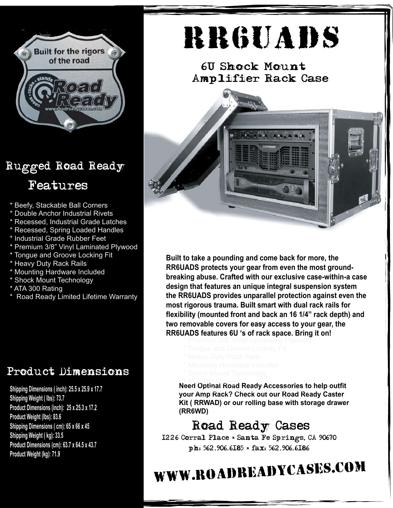

## Rugged Road Ready

### Features

- \* Beefy, Stackable Ball Corners
- \* Double Anchor Industrial Rivets
- \* Recessed, Industrial Grade Latches
- \* Recessed, Spring Loaded Handles
- \* Industrial Grade Rubber Feet
- \* Premium 3/8" Vinyl Laminated Plywood
- \* Tongue and Groove Locking Fit
- \* Heavy Duty Rack Rails
- \* Mounting Hardware Included
- \* Shock Mount Technology
- \* ATA 300 Rating
- \* Road Ready Limited Lifetime Warranty

#### Product Dimensions

**7/06 Product Weight (kg): 71.9Shipping Dimensions ( inch): 25.5 x 25.9 x 17.7 Shipping Weight ( lbs): 73.7 Product Dimensions (inch): 25 x 25.3 x 17.2 Product Weight (lbs): 83.6 Shipping Dimensions ( cm): 65 x 66 x 45 Shipping Weight ( kg): 33.5 Product Dimensions (cm): 63.7 x 64.5 x 43.7**

# RR6UADs

6U Shock Mount Amplifier Rack Case



\* Beefy, Stackable Ball Corners **the RR6UADS provides unparallel protection against even the**  $m$  ost rigorous trauma. Built smart with dual rack rails for \* Recessed, Industrial Grade Latches **flexibility (mounted front and back an 16 1/4" rack depth) and** \* Recessed, Spring Loaded Handles **two removable covers for easy access to your gear, the RR6UADS** features 6U 's of rack space. Bring it on! \* Premium 3/8" Vinyl Laminated Plywood **Built to take a pounding and come back for more, the RR6UADS protects your gear from even the most groundbreaking abuse. Crafted with our exclusive case-within-a case design that features an unique integral suspension system**

- 
- 
- 
- 

**Need Optinal Road Ready Accessories to help outfit your Amp Rack? Check out our Road Ready Caster Kit ( RRWAD) or our rolling base with storage drawer (RR6WD)**

### Road Ready Cases

1226 Corral Place \* Santa Fe Springs, CA 90670 ph: 562.906.6185 \* fax: 562.906.6186

## www.roadreadycases.com